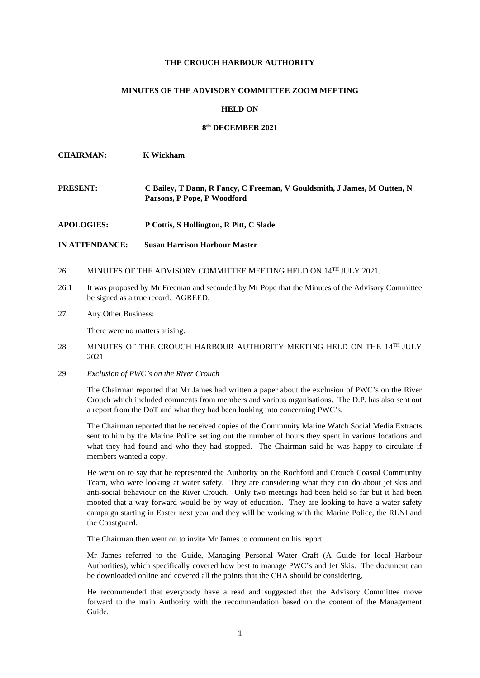# **THE CROUCH HARBOUR AUTHORITY**

## **MINUTES OF THE ADVISORY COMMITTEE ZOOM MEETING**

#### **HELD ON**

# **8 th DECEMBER 2021**

**CHAIRMAN: K Wickham**

- **PRESENT: C Bailey, T Dann, R Fancy, C Freeman, V Gouldsmith, J James, M Outten, N Parsons, P Pope, P Woodford**
- **APOLOGIES: P Cottis, S Hollington, R Pitt, C Slade**
- **IN ATTENDANCE: Susan Harrison Harbour Master**
- 26 MINUTES OF THE ADVISORY COMMITTEE MEETING HELD ON  $14^{TH}$  JULY 2021.
- 26.1 It was proposed by Mr Freeman and seconded by Mr Pope that the Minutes of the Advisory Committee be signed as a true record. AGREED.
- 27 Any Other Business:

There were no matters arising.

- 28 MINUTES OF THE CROUCH HARBOUR AUTHORITY MEETING HELD ON THE 14<sup>TH</sup> JULY 2021
- 29 *Exclusion of PWC's on the River Crouch*

The Chairman reported that Mr James had written a paper about the exclusion of PWC's on the River Crouch which included comments from members and various organisations. The D.P. has also sent out a report from the DoT and what they had been looking into concerning PWC's.

The Chairman reported that he received copies of the Community Marine Watch Social Media Extracts sent to him by the Marine Police setting out the number of hours they spent in various locations and what they had found and who they had stopped. The Chairman said he was happy to circulate if members wanted a copy.

He went on to say that he represented the Authority on the Rochford and Crouch Coastal Community Team, who were looking at water safety. They are considering what they can do about jet skis and anti-social behaviour on the River Crouch. Only two meetings had been held so far but it had been mooted that a way forward would be by way of education. They are looking to have a water safety campaign starting in Easter next year and they will be working with the Marine Police, the RLNI and the Coastguard.

The Chairman then went on to invite Mr James to comment on his report.

Mr James referred to the Guide, Managing Personal Water Craft (A Guide for local Harbour Authorities), which specifically covered how best to manage PWC's and Jet Skis. The document can be downloaded online and covered all the points that the CHA should be considering.

He recommended that everybody have a read and suggested that the Advisory Committee move forward to the main Authority with the recommendation based on the content of the Management Guide.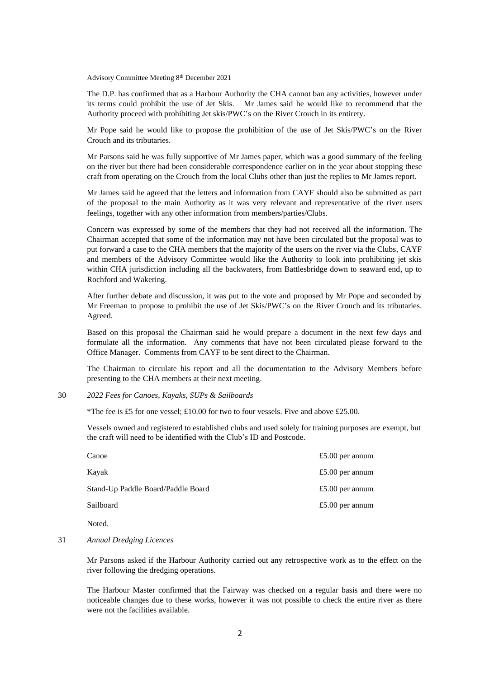Advisory Committee Meeting 8 th December 2021

The D.P. has confirmed that as a Harbour Authority the CHA cannot ban any activities, however under its terms could prohibit the use of Jet Skis. Mr James said he would like to recommend that the Authority proceed with prohibiting Jet skis/PWC's on the River Crouch in its entirety.

Mr Pope said he would like to propose the prohibition of the use of Jet Skis/PWC's on the River Crouch and its tributaries.

Mr Parsons said he was fully supportive of Mr James paper, which was a good summary of the feeling on the river but there had been considerable correspondence earlier on in the year about stopping these craft from operating on the Crouch from the local Clubs other than just the replies to Mr James report.

Mr James said he agreed that the letters and information from CAYF should also be submitted as part of the proposal to the main Authority as it was very relevant and representative of the river users feelings, together with any other information from members/parties/Clubs.

Concern was expressed by some of the members that they had not received all the information. The Chairman accepted that some of the information may not have been circulated but the proposal was to put forward a case to the CHA members that the majority of the users on the river via the Clubs, CAYF and members of the Advisory Committee would like the Authority to look into prohibiting jet skis within CHA jurisdiction including all the backwaters, from Battlesbridge down to seaward end, up to Rochford and Wakering.

After further debate and discussion, it was put to the vote and proposed by Mr Pope and seconded by Mr Freeman to propose to prohibit the use of Jet Skis/PWC's on the River Crouch and its tributaries. Agreed.

Based on this proposal the Chairman said he would prepare a document in the next few days and formulate all the information. Any comments that have not been circulated please forward to the Office Manager. Comments from CAYF to be sent direct to the Chairman.

The Chairman to circulate his report and all the documentation to the Advisory Members before presenting to the CHA members at their next meeting.

30 *2022 Fees for Canoes, Kayaks, SUPs & Sailboards*

\*The fee is £5 for one yessel;  $\pounds10.00$  for two to four yessels. Five and above £25.00.

Vessels owned and registered to established clubs and used solely for training purposes are exempt, but the craft will need to be identified with the Club's ID and Postcode.

| Canoe                              | £5.00 per annum |
|------------------------------------|-----------------|
| Kavak                              | £5.00 per annum |
| Stand-Up Paddle Board/Paddle Board | £5.00 per annum |
| Sailboard                          | £5.00 per annum |
|                                    |                 |

**Noted** 

## 31 *Annual Dredging Licences*

Mr Parsons asked if the Harbour Authority carried out any retrospective work as to the effect on the river following the dredging operations.

The Harbour Master confirmed that the Fairway was checked on a regular basis and there were no noticeable changes due to these works, however it was not possible to check the entire river as there were not the facilities available.